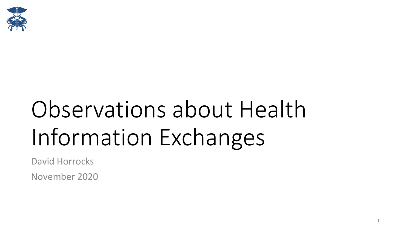

## Observations about Health Information Exchanges

David Horrocks

November 2020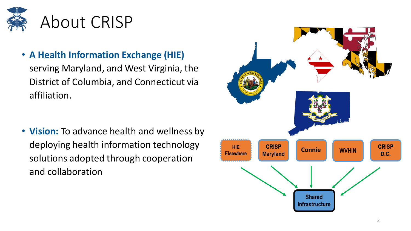

• **A Health Information Exchange (HIE)**  serving Maryland, and West Virginia, the District of Columbia, and Connecticut via affiliation.

• **Vision:** To advance health and wellness by deploying health information technology solutions adopted through cooperation and collaboration

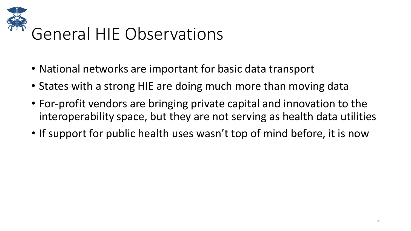

- National networks are important for basic data transport
- States with a strong HIE are doing much more than moving data
- For-profit vendors are bringing private capital and innovation to the interoperability space, but they are not serving as health data utilities
- If support for public health uses wasn't top of mind before, it is now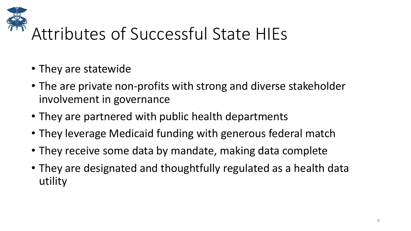

## Attributes of Successful State HIEs

- They are statewide
- The are private non-profits with strong and diverse stakeholder involvement in governance
- They are partnered with public health departments
- They leverage Medicaid funding with generous federal match
- They receive some data by mandate, making data complete
- They are designated and thoughtfully regulated as a health data utility